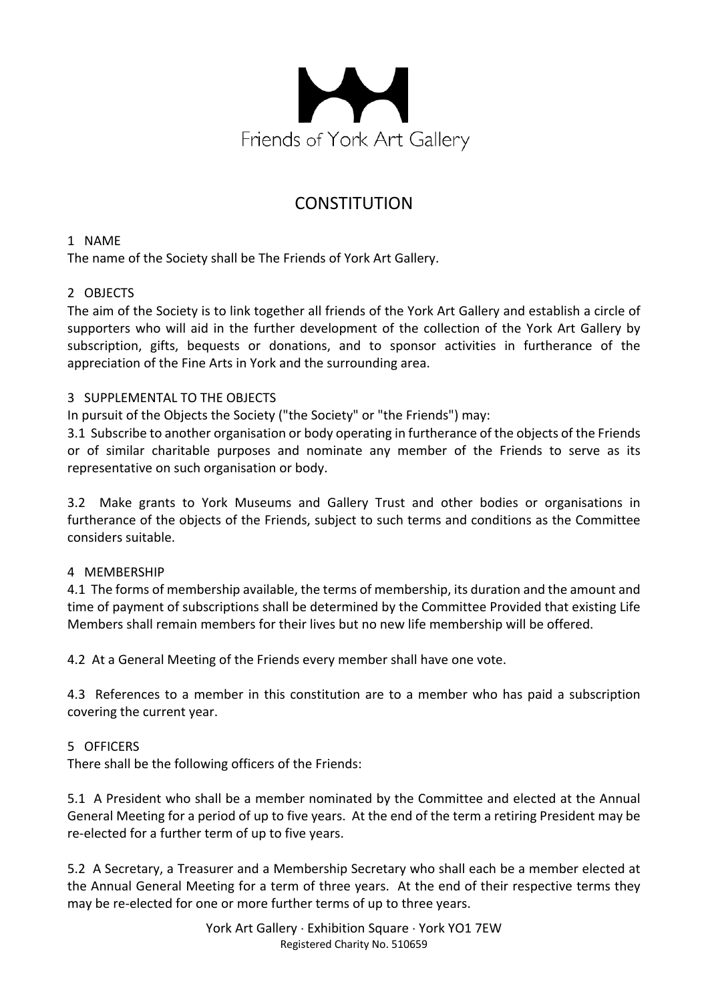

# **CONSTITUTION**

1 NAME

The name of the Society shall be The Friends of York Art Gallery.

## 2 OBJECTS

The aim of the Society is to link together all friends of the York Art Gallery and establish a circle of supporters who will aid in the further development of the collection of the York Art Gallery by subscription, gifts, bequests or donations, and to sponsor activities in furtherance of the appreciation of the Fine Arts in York and the surrounding area.

## 3 SUPPLEMENTAL TO THE OBJECTS

In pursuit of the Objects the Society ("the Society" or "the Friends") may:

3.1 Subscribe to another organisation or body operating in furtherance of the objects of the Friends or of similar charitable purposes and nominate any member of the Friends to serve as its representative on such organisation or body.

3.2 Make grants to York Museums and Gallery Trust and other bodies or organisations in furtherance of the objects of the Friends, subject to such terms and conditions as the Committee considers suitable.

## 4 MEMBERSHIP

4.1 The forms of membership available, the terms of membership, its duration and the amount and time of payment of subscriptions shall be determined by the Committee Provided that existing Life Members shall remain members for their lives but no new life membership will be offered.

4.2 At a General Meeting of the Friends every member shall have one vote.

4.3 References to a member in this constitution are to a member who has paid a subscription covering the current year.

## 5 OFFICERS

There shall be the following officers of the Friends:

5.1 A President who shall be a member nominated by the Committee and elected at the Annual General Meeting for a period of up to five years. At the end of the term a retiring President may be re-elected for a further term of up to five years.

5.2 A Secretary, a Treasurer and a Membership Secretary who shall each be a member elected at the Annual General Meeting for a term of three years. At the end of their respective terms they may be re-elected for one or more further terms of up to three years.

> York Art Gallery · Exhibition Square · York YO1 7EW Registered Charity No. 510659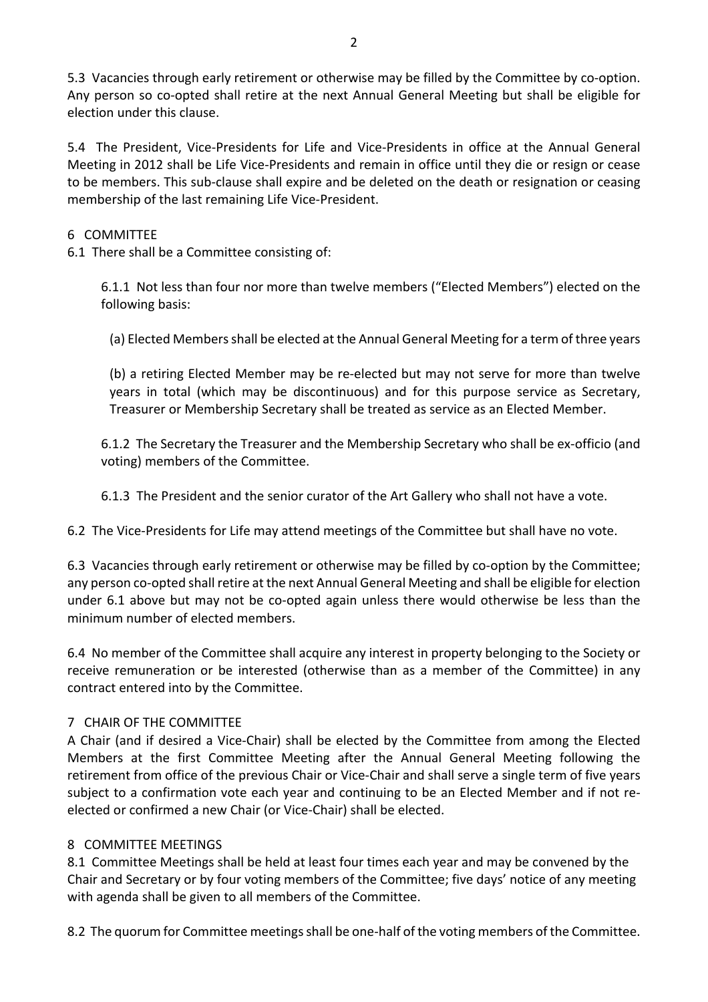5.3 Vacancies through early retirement or otherwise may be filled by the Committee by co-option. Any person so co-opted shall retire at the next Annual General Meeting but shall be eligible for election under this clause.

5.4 The President, Vice-Presidents for Life and Vice-Presidents in office at the Annual General Meeting in 2012 shall be Life Vice-Presidents and remain in office until they die or resign or cease to be members. This sub-clause shall expire and be deleted on the death or resignation or ceasing membership of the last remaining Life Vice-President.

## 6 COMMITTEE

6.1 There shall be a Committee consisting of:

6.1.1 Not less than four nor more than twelve members ("Elected Members") elected on the following basis:

(a) Elected Members shall be elected at the Annual General Meeting for a term of three years

(b) a retiring Elected Member may be re-elected but may not serve for more than twelve years in total (which may be discontinuous) and for this purpose service as Secretary, Treasurer or Membership Secretary shall be treated as service as an Elected Member.

6.1.2 The Secretary the Treasurer and the Membership Secretary who shall be ex-officio (and voting) members of the Committee.

6.1.3 The President and the senior curator of the Art Gallery who shall not have a vote.

6.2 The Vice-Presidents for Life may attend meetings of the Committee but shall have no vote.

6.3 Vacancies through early retirement or otherwise may be filled by co-option by the Committee; any person co-opted shall retire at the next Annual General Meeting and shall be eligible for election under 6.1 above but may not be co-opted again unless there would otherwise be less than the minimum number of elected members.

6.4 No member of the Committee shall acquire any interest in property belonging to the Society or receive remuneration or be interested (otherwise than as a member of the Committee) in any contract entered into by the Committee.

## 7 CHAIR OF THE COMMITTEE

A Chair (and if desired a Vice-Chair) shall be elected by the Committee from among the Elected Members at the first Committee Meeting after the Annual General Meeting following the retirement from office of the previous Chair or Vice-Chair and shall serve a single term of five years subject to a confirmation vote each year and continuing to be an Elected Member and if not reelected or confirmed a new Chair (or Vice-Chair) shall be elected.

## 8 COMMITTEE MEETINGS

8.1 Committee Meetings shall be held at least four times each year and may be convened by the Chair and Secretary or by four voting members of the Committee; five days' notice of any meeting with agenda shall be given to all members of the Committee.

8.2 The quorum for Committee meetings shall be one-half of the voting members of the Committee.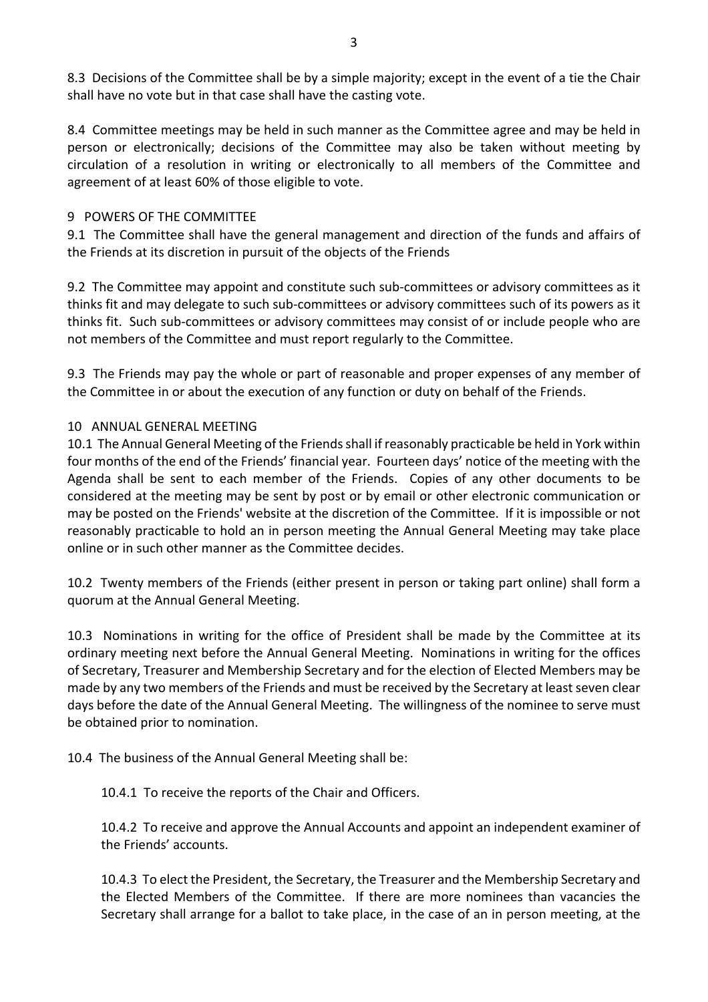8.3 Decisions of the Committee shall be by a simple majority; except in the event of a tie the Chair shall have no vote but in that case shall have the casting vote.

8.4 Committee meetings may be held in such manner as the Committee agree and may be held in person or electronically; decisions of the Committee may also be taken without meeting by circulation of a resolution in writing or electronically to all members of the Committee and agreement of at least 60% of those eligible to vote.

#### 9 POWERS OF THE COMMITTEE

9.1 The Committee shall have the general management and direction of the funds and affairs of the Friends at its discretion in pursuit of the objects of the Friends

9.2 The Committee may appoint and constitute such sub-committees or advisory committees as it thinks fit and may delegate to such sub-committees or advisory committees such of its powers as it thinks fit. Such sub-committees or advisory committees may consist of or include people who are not members of the Committee and must report regularly to the Committee.

9.3 The Friends may pay the whole or part of reasonable and proper expenses of any member of the Committee in or about the execution of any function or duty on behalf of the Friends.

### 10 ANNUAL GENERAL MEETING

10.1 The Annual General Meeting of the Friends shall if reasonably practicable be held in York within four months of the end of the Friends' financial year. Fourteen days' notice of the meeting with the Agenda shall be sent to each member of the Friends. Copies of any other documents to be considered at the meeting may be sent by post or by email or other electronic communication or may be posted on the Friends' website at the discretion of the Committee. If it is impossible or not reasonably practicable to hold an in person meeting the Annual General Meeting may take place online or in such other manner as the Committee decides.

10.2 Twenty members of the Friends (either present in person or taking part online) shall form a quorum at the Annual General Meeting.

10.3 Nominations in writing for the office of President shall be made by the Committee at its ordinary meeting next before the Annual General Meeting. Nominations in writing for the offices of Secretary, Treasurer and Membership Secretary and for the election of Elected Members may be made by any two members of the Friends and must be received by the Secretary at least seven clear days before the date of the Annual General Meeting. The willingness of the nominee to serve must be obtained prior to nomination.

10.4 The business of the Annual General Meeting shall be:

10.4.1 To receive the reports of the Chair and Officers.

10.4.2 To receive and approve the Annual Accounts and appoint an independent examiner of the Friends' accounts.

10.4.3 To elect the President, the Secretary, the Treasurer and the Membership Secretary and the Elected Members of the Committee. If there are more nominees than vacancies the Secretary shall arrange for a ballot to take place, in the case of an in person meeting, at the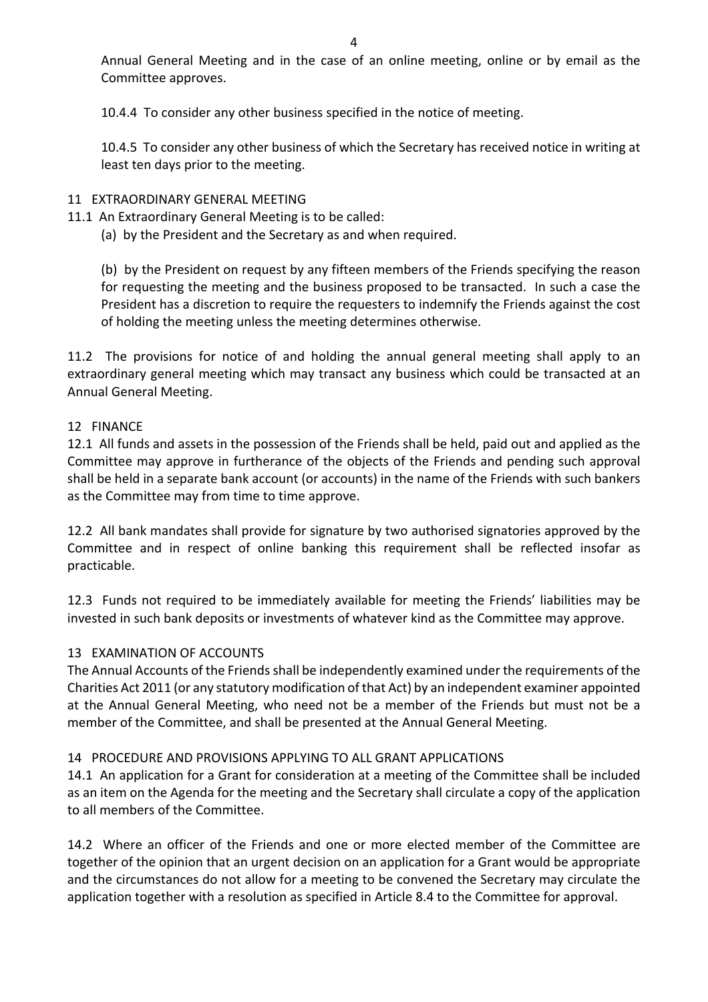Annual General Meeting and in the case of an online meeting, online or by email as the Committee approves.

10.4.4 To consider any other business specified in the notice of meeting.

10.4.5 To consider any other business of which the Secretary has received notice in writing at least ten days prior to the meeting.

## 11 EXTRAORDINARY GENERAL MEETING

- 11.1 An Extraordinary General Meeting is to be called:
	- (a) by the President and the Secretary as and when required.

(b) by the President on request by any fifteen members of the Friends specifying the reason for requesting the meeting and the business proposed to be transacted. In such a case the President has a discretion to require the requesters to indemnify the Friends against the cost of holding the meeting unless the meeting determines otherwise.

11.2 The provisions for notice of and holding the annual general meeting shall apply to an extraordinary general meeting which may transact any business which could be transacted at an Annual General Meeting.

## 12 FINANCE

12.1 All funds and assets in the possession of the Friends shall be held, paid out and applied as the Committee may approve in furtherance of the objects of the Friends and pending such approval shall be held in a separate bank account (or accounts) in the name of the Friends with such bankers as the Committee may from time to time approve.

12.2 All bank mandates shall provide for signature by two authorised signatories approved by the Committee and in respect of online banking this requirement shall be reflected insofar as practicable.

12.3 Funds not required to be immediately available for meeting the Friends' liabilities may be invested in such bank deposits or investments of whatever kind as the Committee may approve.

## 13 EXAMINATION OF ACCOUNTS

The Annual Accounts of the Friends shall be independently examined under the requirements of the Charities Act 2011 (or any statutory modification of that Act) by an independent examiner appointed at the Annual General Meeting, who need not be a member of the Friends but must not be a member of the Committee, and shall be presented at the Annual General Meeting.

## 14 PROCEDURE AND PROVISIONS APPLYING TO ALL GRANT APPLICATIONS

14.1 An application for a Grant for consideration at a meeting of the Committee shall be included as an item on the Agenda for the meeting and the Secretary shall circulate a copy of the application to all members of the Committee.

14.2 Where an officer of the Friends and one or more elected member of the Committee are together of the opinion that an urgent decision on an application for a Grant would be appropriate and the circumstances do not allow for a meeting to be convened the Secretary may circulate the application together with a resolution as specified in Article 8.4 to the Committee for approval.